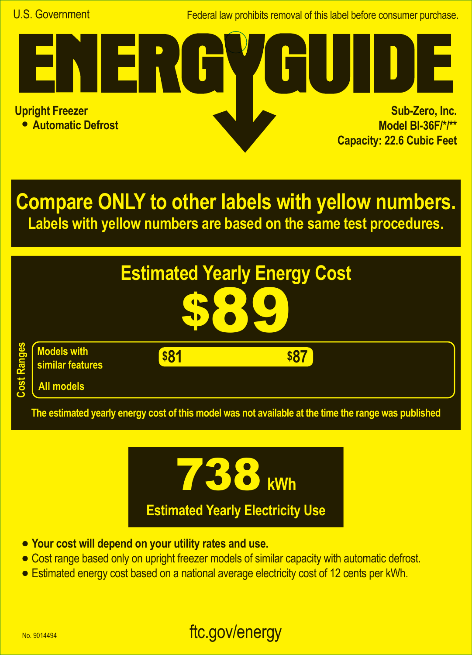

Federal law prohibits removal of this label before consumer purchase.

**A**

 $\blacksquare$   $\blacksquare$   $\blacksquare$ **Upright Freezer Sub-Zero, Inc. • Automatic Defrost Model BI-36F/\*/\*\* Capacity: 22.6 Cubic Feet**

**Compare ONLY to other labels with yellow numbers. Labels with yellow numbers are based on the same test procedures.**



**The estimated yearly energy cost of this model was not available at the time the range was published**



- **• Your cost will depend on your utility rates and use.**
- **•** Cost range based only on upright freezer models of similar capacity with automatic defrost. **C**
- **•** Estimated energy cost based on a national average electricity cost of 12 cents per kWh.

## ftc.gov/energy